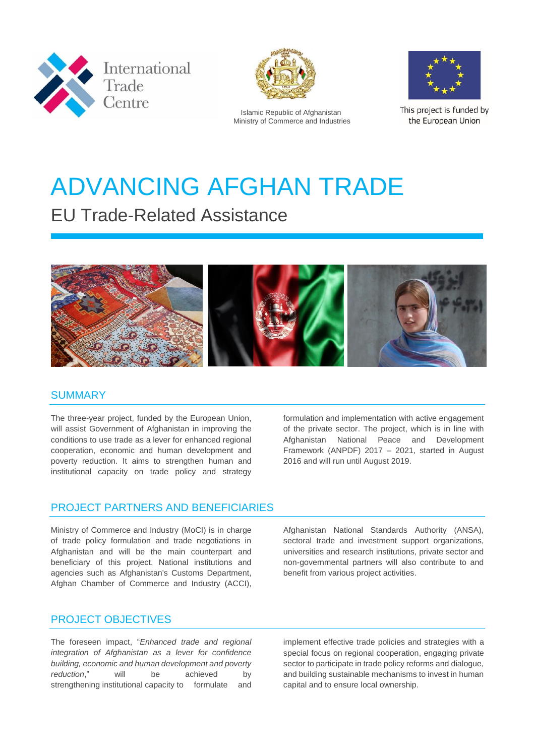



Islamic Republic of Afghanistan Ministry of Commerce and Industries



This project is funded by the European Union

# ADVANCING AFGHAN TRADE

# EU Trade-Related Assistance



#### **SUMMARY**

The three-year project, funded by the European Union, will assist Government of Afghanistan in improving the conditions to use trade as a lever for enhanced regional cooperation, economic and human development and poverty reduction. It aims to strengthen human and institutional capacity on trade policy and strategy

formulation and implementation with active engagement of the private sector. The project, which is in line with Afghanistan National Peace and Development Framework (ANPDF) 2017 – 2021, started in August 2016 and will run until August 2019.

# PROJECT PARTNERS AND BENEFICIARIES

Ministry of Commerce and Industry (MoCI) is in charge of trade policy formulation and trade negotiations in Afghanistan and will be the main counterpart and beneficiary of this project. National institutions and agencies such as Afghanistan's Customs Department, Afghan Chamber of Commerce and Industry (ACCI),

Afghanistan National Standards Authority (ANSA), sectoral trade and investment support organizations, universities and research institutions, private sector and non-governmental partners will also contribute to and benefit from various project activities.

#### PROJECT OBJECTIVES

The foreseen impact, "*Enhanced trade and regional integration of Afghanistan as a lever for confidence building, economic and human development and poverty reduction*," will be achieved by strengthening institutional capacity to formulate and

implement effective trade policies and strategies with a special focus on regional cooperation, engaging private sector to participate in trade policy reforms and dialogue, and building sustainable mechanisms to invest in human capital and to ensure local ownership.